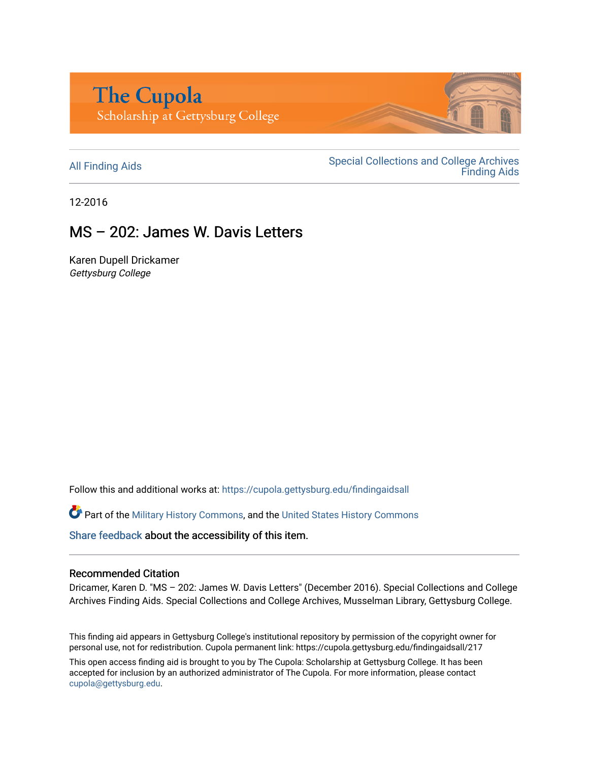

All Finding Aids<br>
All Finding Aids<br>
Special Collections and College Archives [Finding Aids](https://cupola.gettysburg.edu/findingaids) 

12-2016

## MS – 202: James W. Davis Letters

Karen Dupell Drickamer Gettysburg College

Follow this and additional works at: [https://cupola.gettysburg.edu/findingaidsall](https://cupola.gettysburg.edu/findingaidsall?utm_source=cupola.gettysburg.edu%2Ffindingaidsall%2F217&utm_medium=PDF&utm_campaign=PDFCoverPages) 

**C** Part of the [Military History Commons](http://network.bepress.com/hgg/discipline/504?utm_source=cupola.gettysburg.edu%2Ffindingaidsall%2F217&utm_medium=PDF&utm_campaign=PDFCoverPages), and the [United States History Commons](http://network.bepress.com/hgg/discipline/495?utm_source=cupola.gettysburg.edu%2Ffindingaidsall%2F217&utm_medium=PDF&utm_campaign=PDFCoverPages)

[Share feedback](https://docs.google.com/a/bepress.com/forms/d/1h9eEcpBPj5POs5oO6Y5A0blXRmZqykoonyYiZUNyEq8/viewform) about the accessibility of this item.

#### Recommended Citation

Dricamer, Karen D. "MS – 202: James W. Davis Letters" (December 2016). Special Collections and College Archives Finding Aids. Special Collections and College Archives, Musselman Library, Gettysburg College.

This finding aid appears in Gettysburg College's institutional repository by permission of the copyright owner for personal use, not for redistribution. Cupola permanent link: https://cupola.gettysburg.edu/findingaidsall/217

This open access finding aid is brought to you by The Cupola: Scholarship at Gettysburg College. It has been accepted for inclusion by an authorized administrator of The Cupola. For more information, please contact [cupola@gettysburg.edu.](mailto:cupola@gettysburg.edu)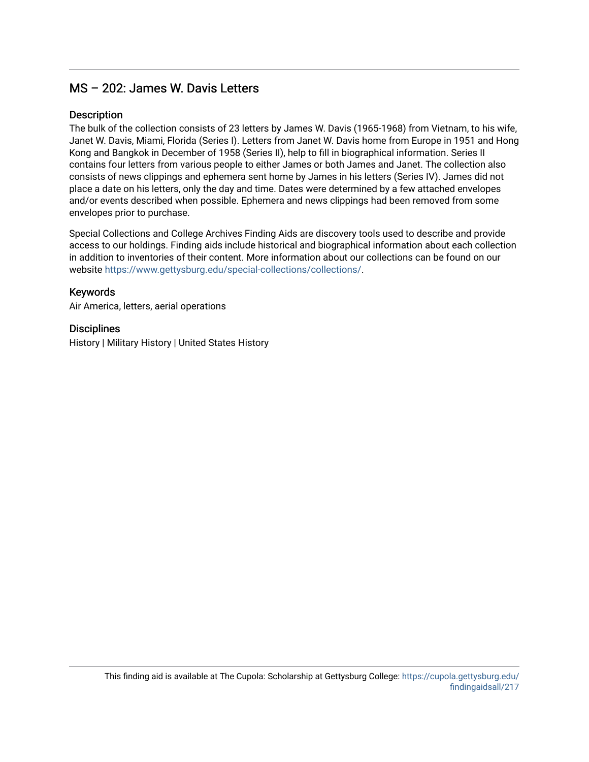### MS – 202: James W. Davis Letters

#### **Description**

The bulk of the collection consists of 23 letters by James W. Davis (1965-1968) from Vietnam, to his wife, Janet W. Davis, Miami, Florida (Series I). Letters from Janet W. Davis home from Europe in 1951 and Hong Kong and Bangkok in December of 1958 (Series II), help to fill in biographical information. Series II contains four letters from various people to either James or both James and Janet. The collection also consists of news clippings and ephemera sent home by James in his letters (Series IV). James did not place a date on his letters, only the day and time. Dates were determined by a few attached envelopes and/or events described when possible. Ephemera and news clippings had been removed from some envelopes prior to purchase.

Special Collections and College Archives Finding Aids are discovery tools used to describe and provide access to our holdings. Finding aids include historical and biographical information about each collection in addition to inventories of their content. More information about our collections can be found on our website [https://www.gettysburg.edu/special-collections/collections/.](https://www.gettysburg.edu/special-collections/collections/)

#### Keywords

Air America, letters, aerial operations

#### **Disciplines**

History | Military History | United States History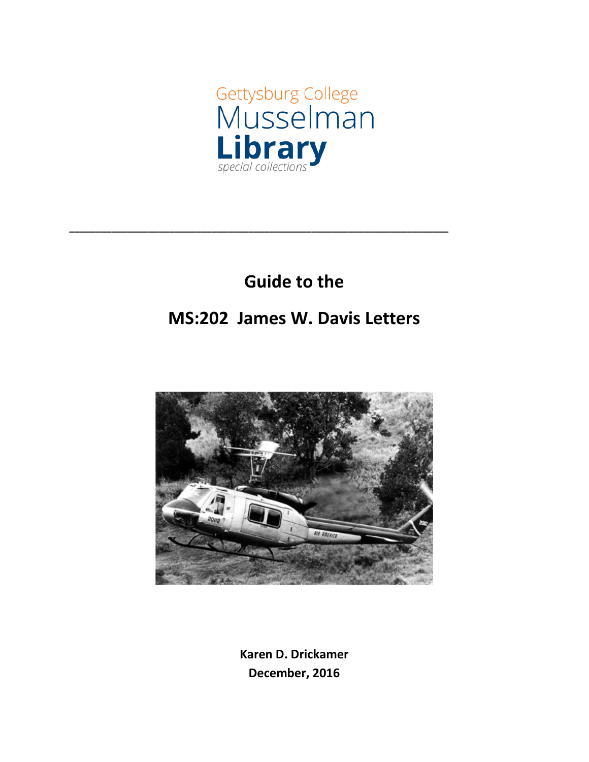

# **Guide to the**

**\_\_\_\_\_\_\_\_\_\_\_\_\_\_\_\_\_\_\_\_\_\_\_\_\_\_\_\_\_\_\_\_\_\_\_\_\_\_\_\_\_\_\_\_\_\_\_\_\_\_\_\_\_\_\_\_\_\_\_\_\_\_\_\_\_\_\_\_\_\_\_\_**

## **MS:202 James W. Davis Letters**



**Karen D. Drickamer December, 2016**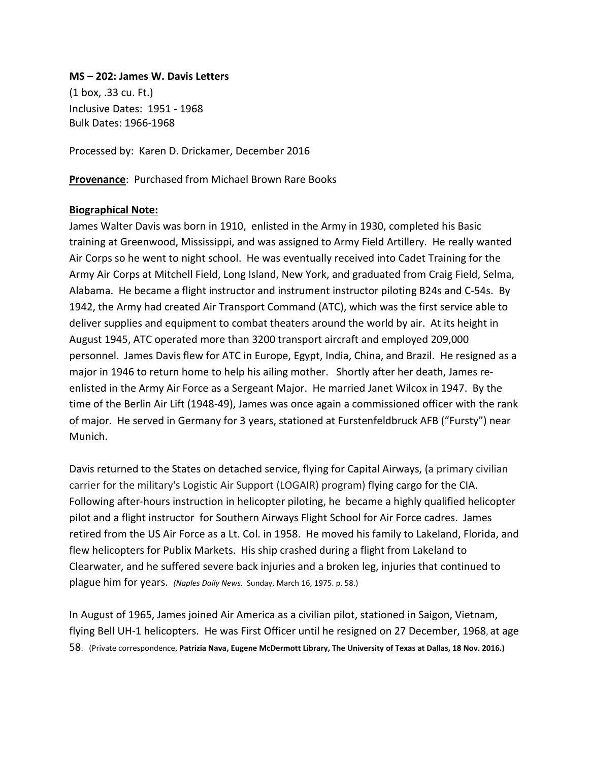#### **MS – 202: James W. Davis Letters**

(1 box, .33 cu. Ft.) Inclusive Dates: 1951 - 1968 Bulk Dates: 1966-1968

Processed by: Karen D. Drickamer, December 2016

**Provenance**: Purchased from Michael Brown Rare Books

#### **Biographical Note:**

James Walter Davis was born in 1910, enlisted in the Army in 1930, completed his Basic training at Greenwood, Mississippi, and was assigned to Army Field Artillery. He really wanted Air Corps so he went to night school. He was eventually received into Cadet Training for the Army Air Corps at Mitchell Field, Long Island, New York, and graduated from Craig Field, Selma, Alabama. He became a flight instructor and instrument instructor piloting B24s and C-54s. By 1942, the Army had created Air Transport Command (ATC), which was the first service able to deliver supplies and equipment to combat theaters around the world by air. At its height in August 1945, ATC operated more than 3200 transport aircraft and employed 209,000 personnel. James Davis flew for ATC in Europe, Egypt, India, China, and Brazil. He resigned as a major in 1946 to return home to help his ailing mother. Shortly after her death, James reenlisted in the Army Air Force as a Sergeant Major. He married Janet Wilcox in 1947. By the time of the Berlin Air Lift (1948-49), James was once again a commissioned officer with the rank of major. He served in Germany for 3 years, stationed at Furstenfeldbruck AFB ("Fursty") near Munich.

Davis returned to the States on detached service, flying for Capital Airways, (a primary civilian carrier for the military's Logistic Air Support (LOGAIR) program) flying cargo for the CIA. Following after-hours instruction in helicopter piloting, he became a highly qualified helicopter pilot and a flight instructor for Southern Airways Flight School for Air Force cadres. James retired from the US Air Force as a Lt. Col. in 1958. He moved his family to Lakeland, Florida, and flew helicopters for Publix Markets. His ship crashed during a flight from Lakeland to Clearwater, and he suffered severe back injuries and a broken leg, injuries that continued to plague him for years. *(Naples Daily News.* Sunday, March 16, 1975. p. 58.)

In August of 1965, James joined Air America as a civilian pilot, stationed in Saigon, Vietnam, flying Bell UH-1 helicopters. He was First Officer until he resigned on 27 December, 1968, at age 58. (Private correspondence, **Patrizia Nava, Eugene McDermott Library, The University of Texas at Dallas, 18 Nov. 2016.)**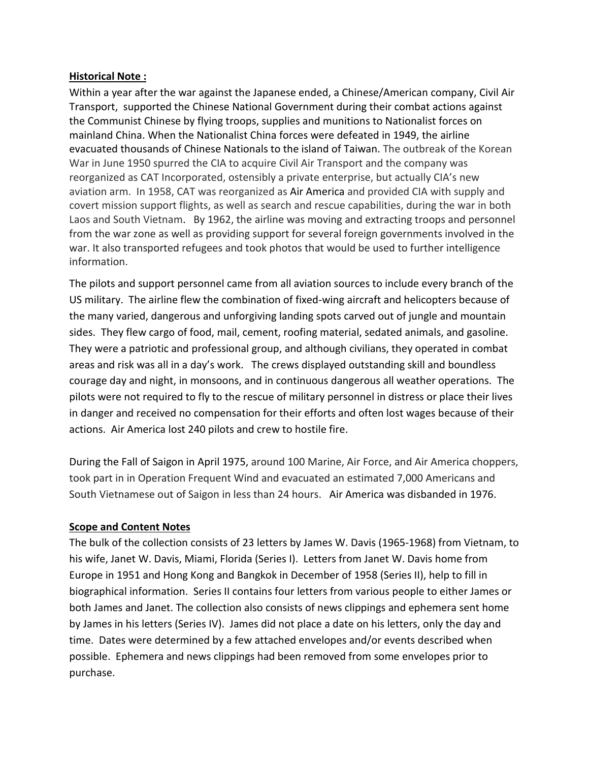#### **Historical Note :**

Within a year after the war against the Japanese ended, a Chinese/American company, Civil Air Transport, supported the Chinese National Government during their combat actions against the Communist Chinese by flying troops, supplies and munitions to Nationalist forces on mainland China. When the Nationalist China forces were defeated in 1949, the airline evacuated thousands of Chinese Nationals to the island of Taiwan. The outbreak of the Korean War in June 1950 spurred the CIA to acquire Civil Air Transport and the company was reorganized as CAT Incorporated, ostensibly a private enterprise, but actually CIA's new aviation arm. In 1958, CAT was reorganized as Air America and provided CIA with supply and covert mission support flights, as well as search and rescue capabilities, during the war in both Laos and South Vietnam. By 1962, the airline was moving and extracting troops and personnel from the war zone as well as providing support for several foreign governments involved in the war. It also transported refugees and took photos that would be used to further intelligence information.

The pilots and support personnel came from all aviation sources to include every branch of the US military. The airline flew the combination of fixed-wing aircraft and helicopters because of the many varied, dangerous and unforgiving landing spots carved out of jungle and mountain sides. They flew cargo of food, mail, cement, roofing material, sedated animals, and gasoline. They were a patriotic and professional group, and although civilians, they operated in combat areas and risk was all in a day's work.The crews displayed outstanding skill and boundless courage day and night, in monsoons, and in continuous dangerous all weather operations. The pilots were not required to fly to the rescue of military personnel in distress or place their lives in danger and received no compensation for their efforts and often lost wages because of their actions. Air America lost 240 pilots and crew to hostile fire.

During the Fall of Saigon in April 1975, around 100 Marine, Air Force, and Air America choppers, took part in in Operation Frequent Wind and evacuated an estimated 7,000 Americans and South Vietnamese out of Saigon in less than 24 hours. Air America was disbanded in 1976.

#### **Scope and Content Notes**

The bulk of the collection consists of 23 letters by James W. Davis (1965-1968) from Vietnam, to his wife, Janet W. Davis, Miami, Florida (Series I). Letters from Janet W. Davis home from Europe in 1951 and Hong Kong and Bangkok in December of 1958 (Series II), help to fill in biographical information. Series II contains four letters from various people to either James or both James and Janet. The collection also consists of news clippings and ephemera sent home by James in his letters (Series IV). James did not place a date on his letters, only the day and time. Dates were determined by a few attached envelopes and/or events described when possible. Ephemera and news clippings had been removed from some envelopes prior to purchase.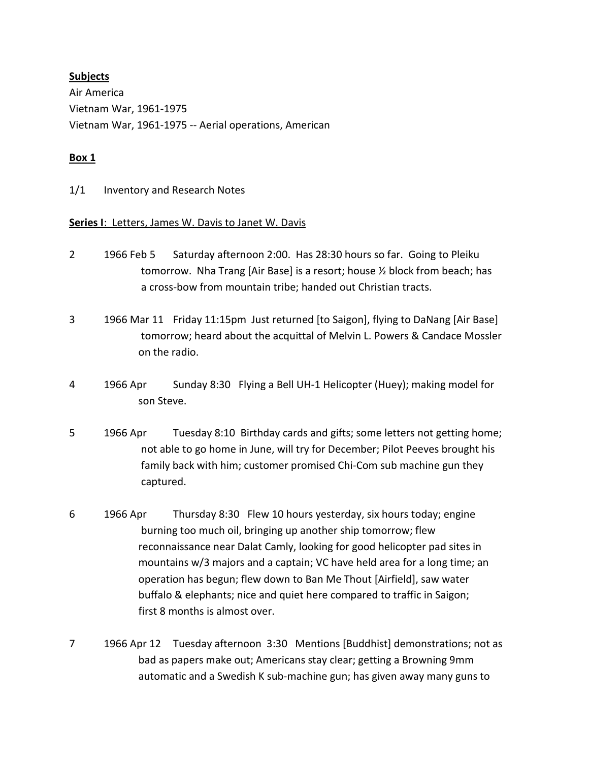#### **Subjects**

Air America [Vietnam War, 1961-1975](http://library.gettysburg.edu/search?/dvietnam+War/dvietnam+war/1%2C325%2C2112%2CB/exact&FF=dvietnam+war+++++1961+++++1975&1%2C237%2C/indexsort=-) Vietnam War, 1961-1975 -- Aerial [operations,](javascript:__doLinkPostBack() American

#### **Box 1**

1/1 Inventory and Research Notes

#### **Series I**: Letters, James W. Davis to Janet W. Davis

- 2 1966 Feb 5 Saturday afternoon 2:00. Has 28:30 hours so far. Going to Pleiku tomorrow. Nha Trang [Air Base] is a resort; house ½ block from beach; has a cross-bow from mountain tribe; handed out Christian tracts.
- 3 1966 Mar 11 Friday 11:15pm Just returned [to Saigon], flying to DaNang [Air Base] tomorrow; heard about the acquittal of Melvin L. Powers & Candace Mossler on the radio.
- 4 1966 Apr Sunday 8:30 Flying a Bell UH-1 Helicopter (Huey); making model for son Steve.
- 5 1966 Apr Tuesday 8:10 Birthday cards and gifts; some letters not getting home; not able to go home in June, will try for December; Pilot Peeves brought his family back with him; customer promised Chi-Com sub machine gun they captured.
- 6 1966 Apr Thursday 8:30 Flew 10 hours yesterday, six hours today; engine burning too much oil, bringing up another ship tomorrow; flew reconnaissance near Dalat Camly, looking for good helicopter pad sites in mountains w/3 majors and a captain; VC have held area for a long time; an operation has begun; flew down to Ban Me Thout [Airfield], saw water buffalo & elephants; nice and quiet here compared to traffic in Saigon; first 8 months is almost over.
- 7 1966 Apr 12 Tuesday afternoon 3:30 Mentions [Buddhist] demonstrations; not as bad as papers make out; Americans stay clear; getting a Browning 9mm automatic and a Swedish K sub-machine gun; has given away many guns to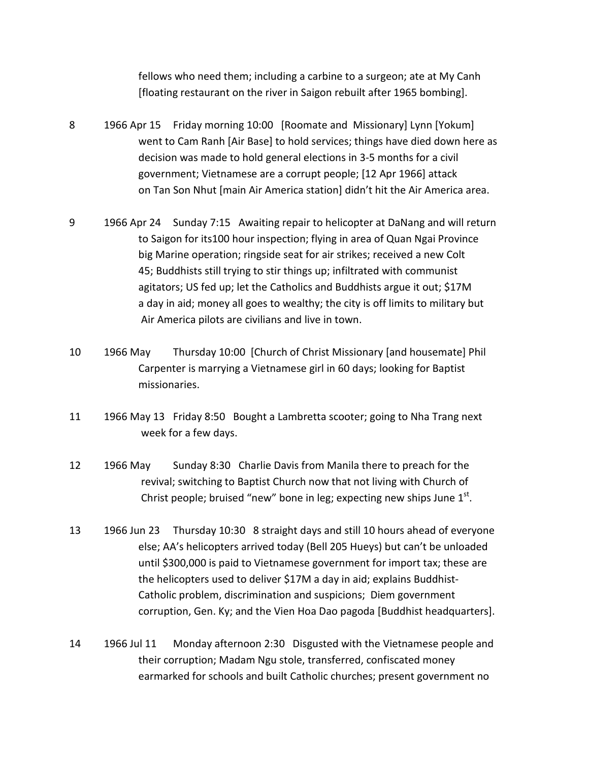fellows who need them; including a carbine to a surgeon; ate at My Canh [floating restaurant on the river in Saigon rebuilt after 1965 bombing].

- 8 1966 Apr 15 Friday morning 10:00 [Roomate and Missionary] Lynn [Yokum] went to Cam Ranh [Air Base] to hold services; things have died down here as decision was made to hold general elections in 3-5 months for a civil government; Vietnamese are a corrupt people; [12 Apr 1966] attack on Tan Son Nhut [main Air America station] didn't hit the Air America area.
- 9 1966 Apr 24 Sunday 7:15 Awaiting repair to helicopter at DaNang and will return to Saigon for its100 hour inspection; flying in area of Quan Ngai Province big Marine operation; ringside seat for air strikes; received a new Colt 45; Buddhists still trying to stir things up; infiltrated with communist agitators; US fed up; let the Catholics and Buddhists argue it out; \$17M a day in aid; money all goes to wealthy; the city is off limits to military but Air America pilots are civilians and live in town.
- 10 1966 May Thursday 10:00 [Church of Christ Missionary [and housemate] Phil Carpenter is marrying a Vietnamese girl in 60 days; looking for Baptist missionaries.
- 11 1966 May 13 Friday 8:50 Bought a Lambretta scooter; going to Nha Trang next week for a few days.
- 12 1966 May Sunday 8:30 Charlie Davis from Manila there to preach for the revival; switching to Baptist Church now that not living with Church of Christ people; bruised "new" bone in leg; expecting new ships June  $1<sup>st</sup>$ .
- 13 1966 Jun 23 Thursday 10:30 8 straight days and still 10 hours ahead of everyone else; AA's helicopters arrived today (Bell 205 Hueys) but can't be unloaded until \$300,000 is paid to Vietnamese government for import tax; these are the helicopters used to deliver \$17M a day in aid; explains Buddhist-Catholic problem, discrimination and suspicions; Diem government corruption, Gen. Ky; and the Vien Hoa Dao pagoda [Buddhist headquarters].
- 14 1966 Jul 11 Monday afternoon 2:30 Disgusted with the Vietnamese people and their corruption; Madam Ngu stole, transferred, confiscated money earmarked for schools and built Catholic churches; present government no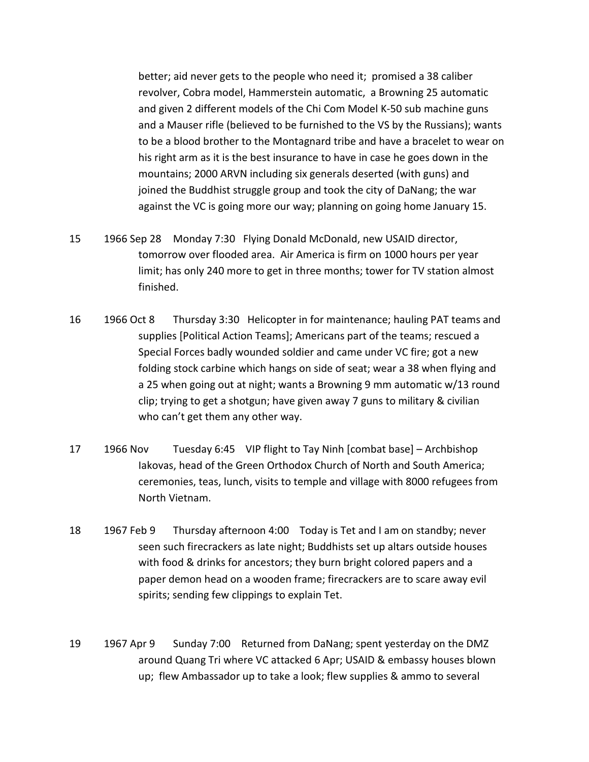better; aid never gets to the people who need it; promised a 38 caliber revolver, Cobra model, Hammerstein automatic, a Browning 25 automatic and given 2 different models of the Chi Com Model K-50 sub machine guns and a Mauser rifle (believed to be furnished to the VS by the Russians); wants to be a blood brother to the Montagnard tribe and have a bracelet to wear on his right arm as it is the best insurance to have in case he goes down in the mountains; 2000 ARVN including six generals deserted (with guns) and joined the Buddhist struggle group and took the city of DaNang; the war against the VC is going more our way; planning on going home January 15.

- 15 1966 Sep 28 Monday 7:30 Flying Donald McDonald, new USAID director, tomorrow over flooded area. Air America is firm on 1000 hours per year limit; has only 240 more to get in three months; tower for TV station almost finished.
- 16 1966 Oct 8 Thursday 3:30 Helicopter in for maintenance; hauling PAT teams and supplies [Political Action Teams]; Americans part of the teams; rescued a Special Forces badly wounded soldier and came under VC fire; got a new folding stock carbine which hangs on side of seat; wear a 38 when flying and a 25 when going out at night; wants a Browning 9 mm automatic w/13 round clip; trying to get a shotgun; have given away 7 guns to military & civilian who can't get them any other way.
- 17 1966 Nov Tuesday 6:45 VIP flight to Tay Ninh [combat base] Archbishop Iakovas, head of the Green Orthodox Church of North and South America; ceremonies, teas, lunch, visits to temple and village with 8000 refugees from North Vietnam.
- 18 1967 Feb 9 Thursday afternoon 4:00 Today is Tet and I am on standby; never seen such firecrackers as late night; Buddhists set up altars outside houses with food & drinks for ancestors; they burn bright colored papers and a paper demon head on a wooden frame; firecrackers are to scare away evil spirits; sending few clippings to explain Tet.
- 19 1967 Apr 9 Sunday 7:00 Returned from DaNang; spent yesterday on the DMZ around Quang Tri where VC attacked 6 Apr; USAID & embassy houses blown up; flew Ambassador up to take a look; flew supplies & ammo to several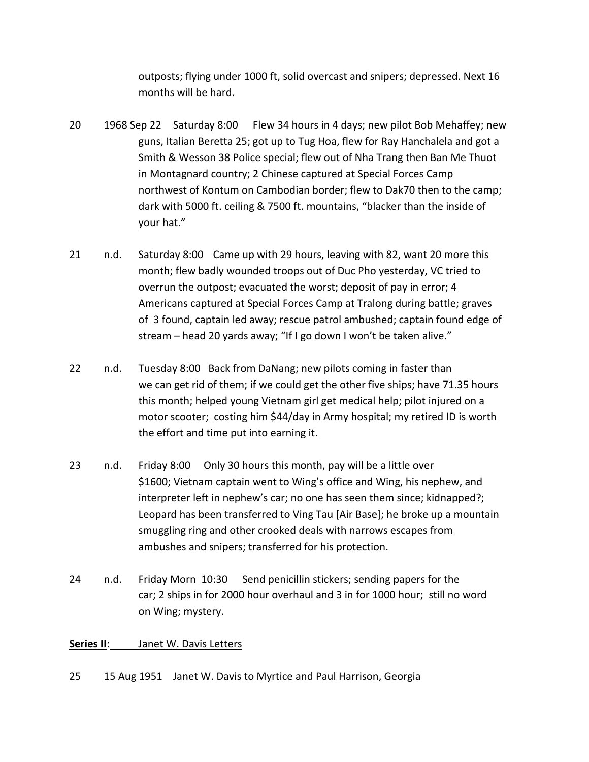outposts; flying under 1000 ft, solid overcast and snipers; depressed. Next 16 months will be hard.

- 20 1968 Sep 22 Saturday 8:00 Flew 34 hours in 4 days; new pilot Bob Mehaffey; new guns, Italian Beretta 25; got up to Tug Hoa, flew for Ray Hanchalela and got a Smith & Wesson 38 Police special; flew out of Nha Trang then Ban Me Thuot in Montagnard country; 2 Chinese captured at Special Forces Camp northwest of Kontum on Cambodian border; flew to Dak70 then to the camp; dark with 5000 ft. ceiling & 7500 ft. mountains, "blacker than the inside of your hat."
- 21 n.d. Saturday 8:00 Came up with 29 hours, leaving with 82, want 20 more this month; flew badly wounded troops out of Duc Pho yesterday, VC tried to overrun the outpost; evacuated the worst; deposit of pay in error; 4 Americans captured at Special Forces Camp at Tralong during battle; graves of 3 found, captain led away; rescue patrol ambushed; captain found edge of stream – head 20 yards away; "If I go down I won't be taken alive."
- 22 n.d. Tuesday 8:00 Back from DaNang; new pilots coming in faster than we can get rid of them; if we could get the other five ships; have 71.35 hours this month; helped young Vietnam girl get medical help; pilot injured on a motor scooter; costing him \$44/day in Army hospital; my retired ID is worth the effort and time put into earning it.
- 23 n.d. Friday 8:00 Only 30 hours this month, pay will be a little over \$1600; Vietnam captain went to Wing's office and Wing, his nephew, and interpreter left in nephew's car; no one has seen them since; kidnapped?; Leopard has been transferred to Ving Tau [Air Base]; he broke up a mountain smuggling ring and other crooked deals with narrows escapes from ambushes and snipers; transferred for his protection.
- 24 n.d. Friday Morn 10:30 Send penicillin stickers; sending papers for the car; 2 ships in for 2000 hour overhaul and 3 in for 1000 hour; still no word on Wing; mystery.

#### **Series II**: Janet W. Davis Letters

25 15 Aug 1951 Janet W. Davis to Myrtice and Paul Harrison, Georgia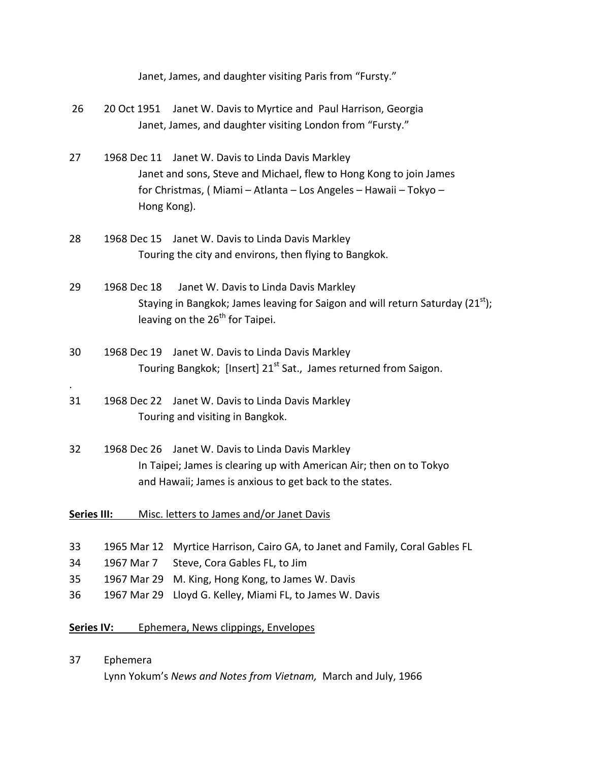| Janet, James, and daughter visiting Paris from "Fursty." |  |
|----------------------------------------------------------|--|
|----------------------------------------------------------|--|

| 26                                                |                                                         | 20 Oct 1951 Janet W. Davis to Myrtice and Paul Harrison, Georgia<br>Janet, James, and daughter visiting London from "Fursty."                                                               |  |
|---------------------------------------------------|---------------------------------------------------------|---------------------------------------------------------------------------------------------------------------------------------------------------------------------------------------------|--|
| 27                                                | Hong Kong).                                             | 1968 Dec 11 Janet W. Davis to Linda Davis Markley<br>Janet and sons, Steve and Michael, flew to Hong Kong to join James<br>for Christmas, (Miami - Atlanta - Los Angeles - Hawaii - Tokyo - |  |
| 28                                                | 1968 Dec 15                                             | Janet W. Davis to Linda Davis Markley<br>Touring the city and environs, then flying to Bangkok.                                                                                             |  |
| 29                                                | 1968 Dec 18                                             | Janet W. Davis to Linda Davis Markley<br>Staying in Bangkok; James leaving for Saigon and will return Saturday (21 <sup>st</sup> );<br>leaving on the 26 <sup>th</sup> for Taipei.          |  |
| 30                                                |                                                         | 1968 Dec 19 Janet W. Davis to Linda Davis Markley<br>Touring Bangkok; [Insert] 21 <sup>st</sup> Sat., James returned from Saigon.                                                           |  |
| 31                                                | 1968 Dec 22                                             | Janet W. Davis to Linda Davis Markley<br>Touring and visiting in Bangkok.                                                                                                                   |  |
| 32                                                |                                                         | 1968 Dec 26 Janet W. Davis to Linda Davis Markley<br>In Taipei; James is clearing up with American Air; then on to Tokyo<br>and Hawaii; James is anxious to get back to the states.         |  |
| <b>Series III:</b>                                |                                                         | Misc. letters to James and/or Janet Davis                                                                                                                                                   |  |
| 33<br>34<br>35<br>36                              | 1965 Mar 12<br>1967 Mar 7<br>1967 Mar 29<br>1967 Mar 29 | Myrtice Harrison, Cairo GA, to Janet and Family, Coral Gables FL<br>Steve, Cora Gables FL, to Jim<br>M. King, Hong Kong, to James W. Davis<br>Lloyd G. Kelley, Miami FL, to James W. Davis  |  |
| Ephemera, News clippings, Envelopes<br>Series IV: |                                                         |                                                                                                                                                                                             |  |

37 Ephemera Lynn Yokum's *News and Notes from Vietnam,* March and July, 1966